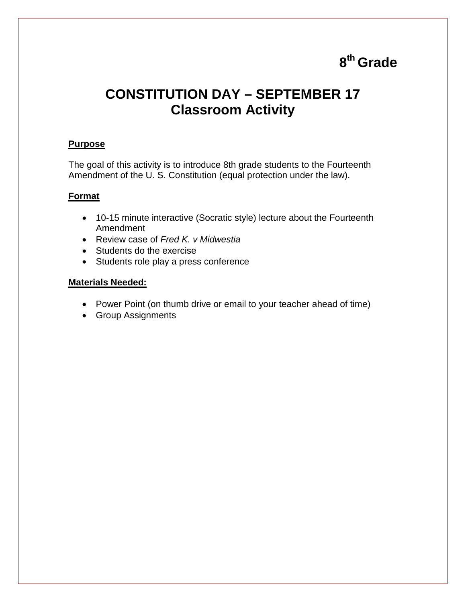# **8th Grade**

# **CONSTITUTION DAY – SEPTEMBER 17 Classroom Activity**

## **Purpose**

The goal of this activity is to introduce 8th grade students to the Fourteenth Amendment of the U. S. Constitution (equal protection under the law).

## **Format**

- 10-15 minute interactive (Socratic style) lecture about the Fourteenth Amendment
- Review case of *Fred K. v Midwestia*
- Students do the exercise
- Students role play a press conference

## **Materials Needed:**

- Power Point (on thumb drive or email to your teacher ahead of time)
- Group Assignments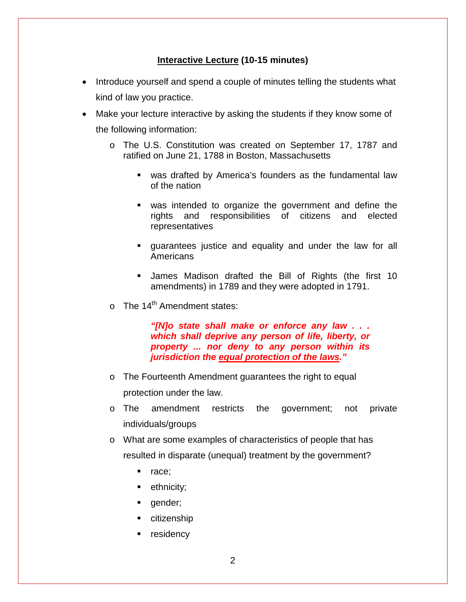## **Interactive Lecture (10-15 minutes)**

- Introduce yourself and spend a couple of minutes telling the students what kind of law you practice.
- Make your lecture interactive by asking the students if they know some of the following information:
	- o The U.S. Constitution was created on September 17, 1787 and ratified on June 21, 1788 in Boston, Massachusetts
		- was drafted by America's founders as the fundamental law of the nation
		- was intended to organize the government and define the rights and responsibilities of citizens and elected representatives
		- guarantees justice and equality and under the law for all Americans
		- James Madison drafted the Bill of Rights (the first 10 amendments) in 1789 and they were adopted in 1791.
	- $\circ$  The 14<sup>th</sup> Amendment states:

*"[N]o state shall make or enforce any law . . . which shall deprive any person of life, liberty, or property ... nor deny to any person within its jurisdiction the equal protection of the laws."*

- o The Fourteenth Amendment guarantees the right to equal protection under the law.
- o The amendment restricts the government; not private individuals/groups
- o What are some examples of characteristics of people that has resulted in disparate (unequal) treatment by the government?
	- nace:
	- ethnicity;
	- **qender;**
	- **citizenship**
	- **residency**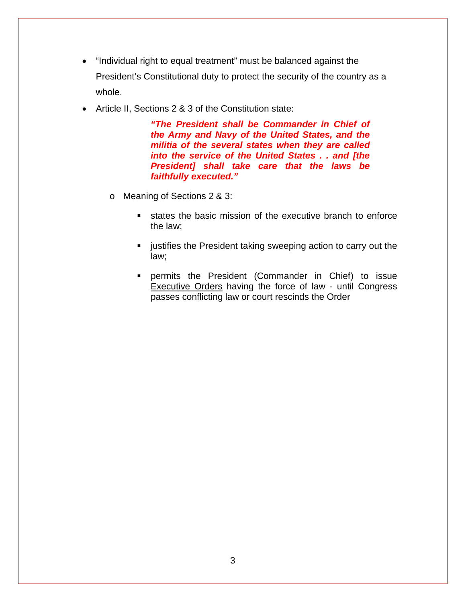- "Individual right to equal treatment" must be balanced against the President's Constitutional duty to protect the security of the country as a whole.
- Article II, Sections 2 & 3 of the Constitution state:

*"The President shall be Commander in Chief of the Army and Navy of the United States, and the militia of the several states when they are called into the service of the United States . . and [the President] shall take care that the laws be faithfully executed."*

- o Meaning of Sections 2 & 3:
	- states the basic mission of the executive branch to enforce the law;
	- **EXEDENT** justifies the President taking sweeping action to carry out the law;
	- permits the President (Commander in Chief) to issue Executive Orders having the force of law - until Congress passes conflicting law or court rescinds the Order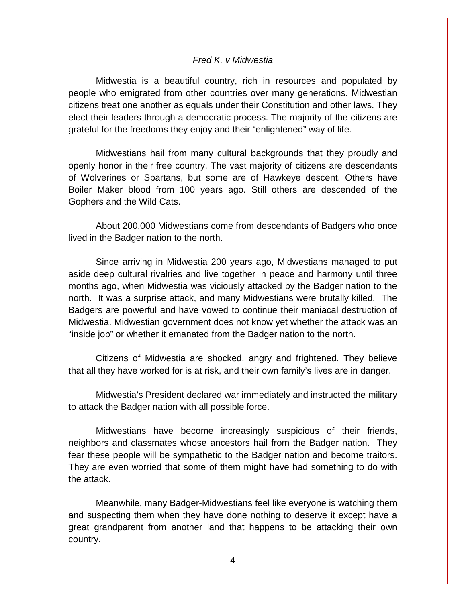#### *Fred K. v Midwestia*

Midwestia is a beautiful country, rich in resources and populated by people who emigrated from other countries over many generations. Midwestian citizens treat one another as equals under their Constitution and other laws. They elect their leaders through a democratic process. The majority of the citizens are grateful for the freedoms they enjoy and their "enlightened" way of life.

Midwestians hail from many cultural backgrounds that they proudly and openly honor in their free country. The vast majority of citizens are descendants of Wolverines or Spartans, but some are of Hawkeye descent. Others have Boiler Maker blood from 100 years ago. Still others are descended of the Gophers and the Wild Cats.

About 200,000 Midwestians come from descendants of Badgers who once lived in the Badger nation to the north.

Since arriving in Midwestia 200 years ago, Midwestians managed to put aside deep cultural rivalries and live together in peace and harmony until three months ago, when Midwestia was viciously attacked by the Badger nation to the north. It was a surprise attack, and many Midwestians were brutally killed. The Badgers are powerful and have vowed to continue their maniacal destruction of Midwestia. Midwestian government does not know yet whether the attack was an "inside job" or whether it emanated from the Badger nation to the north.

Citizens of Midwestia are shocked, angry and frightened. They believe that all they have worked for is at risk, and their own family's lives are in danger.

Midwestia's President declared war immediately and instructed the military to attack the Badger nation with all possible force.

Midwestians have become increasingly suspicious of their friends, neighbors and classmates whose ancestors hail from the Badger nation. They fear these people will be sympathetic to the Badger nation and become traitors. They are even worried that some of them might have had something to do with the attack.

Meanwhile, many Badger-Midwestians feel like everyone is watching them and suspecting them when they have done nothing to deserve it except have a great grandparent from another land that happens to be attacking their own country.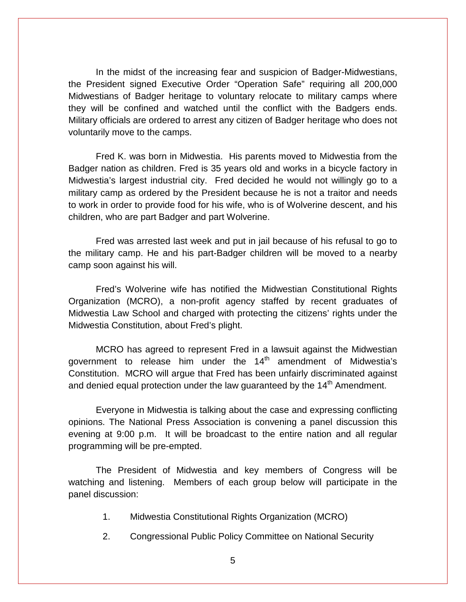In the midst of the increasing fear and suspicion of Badger-Midwestians, the President signed Executive Order "Operation Safe" requiring all 200,000 Midwestians of Badger heritage to voluntary relocate to military camps where they will be confined and watched until the conflict with the Badgers ends. Military officials are ordered to arrest any citizen of Badger heritage who does not voluntarily move to the camps.

Fred K. was born in Midwestia. His parents moved to Midwestia from the Badger nation as children. Fred is 35 years old and works in a bicycle factory in Midwestia's largest industrial city. Fred decided he would not willingly go to a military camp as ordered by the President because he is not a traitor and needs to work in order to provide food for his wife, who is of Wolverine descent, and his children, who are part Badger and part Wolverine.

Fred was arrested last week and put in jail because of his refusal to go to the military camp. He and his part-Badger children will be moved to a nearby camp soon against his will.

Fred's Wolverine wife has notified the Midwestian Constitutional Rights Organization (MCRO), a non-profit agency staffed by recent graduates of Midwestia Law School and charged with protecting the citizens' rights under the Midwestia Constitution, about Fred's plight.

MCRO has agreed to represent Fred in a lawsuit against the Midwestian government to release him under the 14<sup>th</sup> amendment of Midwestia's Constitution. MCRO will argue that Fred has been unfairly discriminated against and denied equal protection under the law quaranteed by the  $14<sup>th</sup>$  Amendment.

Everyone in Midwestia is talking about the case and expressing conflicting opinions. The National Press Association is convening a panel discussion this evening at 9:00 p.m. It will be broadcast to the entire nation and all regular programming will be pre-empted.

The President of Midwestia and key members of Congress will be watching and listening. Members of each group below will participate in the panel discussion:

- 1. Midwestia Constitutional Rights Organization (MCRO)
- 2. Congressional Public Policy Committee on National Security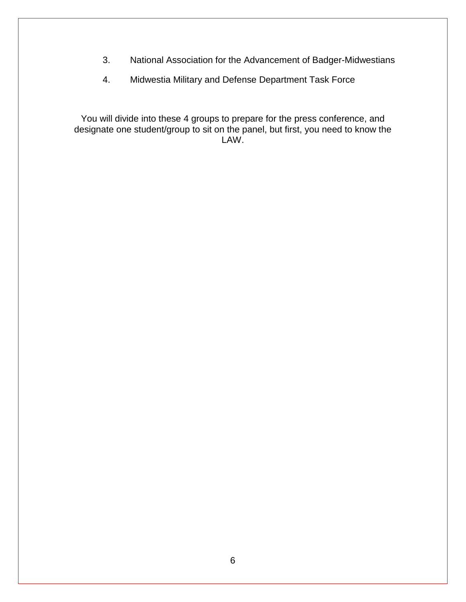- 3. National Association for the Advancement of Badger-Midwestians
- 4. Midwestia Military and Defense Department Task Force

You will divide into these 4 groups to prepare for the press conference, and designate one student/group to sit on the panel, but first, you need to know the LAW.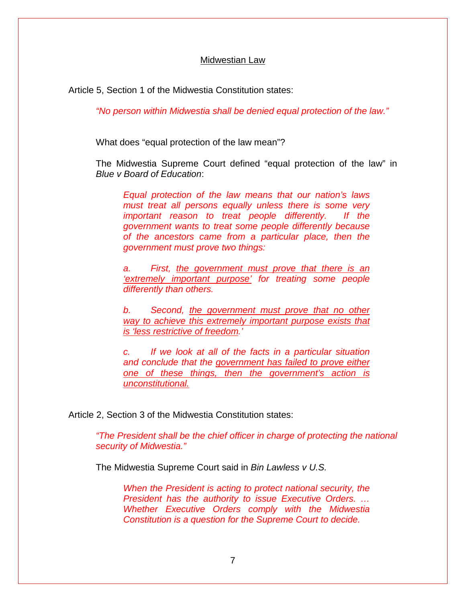#### Midwestian Law

Article 5, Section 1 of the Midwestia Constitution states:

*"No person within Midwestia shall be denied equal protection of the law."*

What does "equal protection of the law mean"?

The Midwestia Supreme Court defined "equal protection of the law" in *Blue v Board of Education*:

*Equal protection of the law means that our nation's laws must treat all persons equally unless there is some very important reason to treat people differently. If the government wants to treat some people differently because of the ancestors came from a particular place, then the government must prove two things:*

*a. First, the government must prove that there is an 'extremely important purpose' for treating some people differently than others.* 

*b. Second, the government must prove that no other way to achieve this extremely important purpose exists that is 'less restrictive of freedom.'* 

*c. If we look at all of the facts in a particular situation and conclude that the government has failed to prove either one of these things, then the government's action is unconstitutional.*

Article 2, Section 3 of the Midwestia Constitution states:

*"The President shall be the chief officer in charge of protecting the national security of Midwestia."*

The Midwestia Supreme Court said in *Bin Lawless v U.S.* 

*When the President is acting to protect national security, the President has the authority to issue Executive Orders. … Whether Executive Orders comply with the Midwestia Constitution is a question for the Supreme Court to decide.*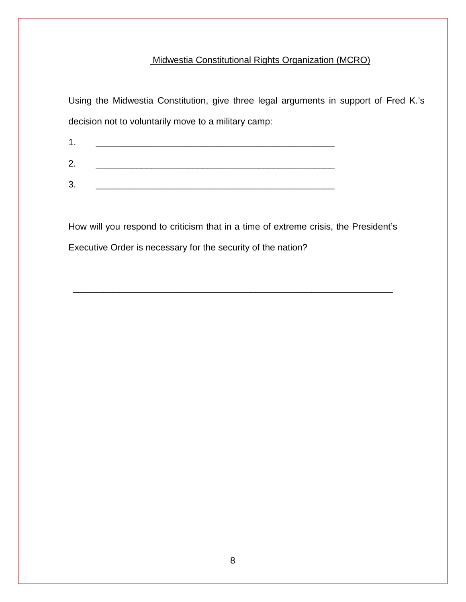# Midwestia Constitutional Rights Organization (MCRO)

Using the Midwestia Constitution, give three legal arguments in support of Fred K.'s decision not to voluntarily move to a military camp:

How will you respond to criticism that in a time of extreme crisis, the President's

\_\_\_\_\_\_\_\_\_\_\_\_\_\_\_\_\_\_\_\_\_\_\_\_\_\_\_\_\_\_\_\_\_\_\_\_\_\_\_\_\_\_\_\_\_\_\_\_\_\_\_\_\_\_\_\_\_\_\_\_\_\_\_

Executive Order is necessary for the security of the nation?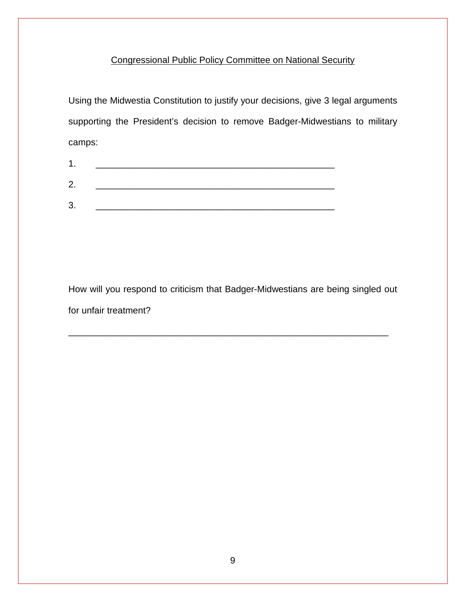# Congressional Public Policy Committee on National Security

Using the Midwestia Constitution to justify your decisions, give 3 legal arguments supporting the President's decision to remove Badger-Midwestians to military camps:

How will you respond to criticism that Badger-Midwestians are being singled out for unfair treatment?

\_\_\_\_\_\_\_\_\_\_\_\_\_\_\_\_\_\_\_\_\_\_\_\_\_\_\_\_\_\_\_\_\_\_\_\_\_\_\_\_\_\_\_\_\_\_\_\_\_\_\_\_\_\_\_\_\_\_\_\_\_\_\_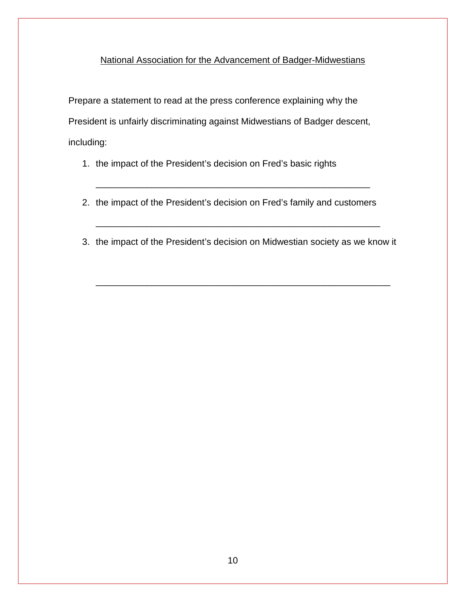# National Association for the Advancement of Badger-Midwestians

Prepare a statement to read at the press conference explaining why the President is unfairly discriminating against Midwestians of Badger descent, including:

- 1. the impact of the President's decision on Fred's basic rights
- 2. the impact of the President's decision on Fred's family and customers

\_\_\_\_\_\_\_\_\_\_\_\_\_\_\_\_\_\_\_\_\_\_\_\_\_\_\_\_\_\_\_\_\_\_\_\_\_\_\_\_\_\_\_\_\_\_\_\_\_\_\_\_\_\_

3. the impact of the President's decision on Midwestian society as we know it

\_\_\_\_\_\_\_\_\_\_\_\_\_\_\_\_\_\_\_\_\_\_\_\_\_\_\_\_\_\_\_\_\_\_\_\_\_\_\_\_\_\_\_\_\_\_\_\_\_\_\_\_\_\_\_\_\_\_

\_\_\_\_\_\_\_\_\_\_\_\_\_\_\_\_\_\_\_\_\_\_\_\_\_\_\_\_\_\_\_\_\_\_\_\_\_\_\_\_\_\_\_\_\_\_\_\_\_\_\_\_\_\_\_\_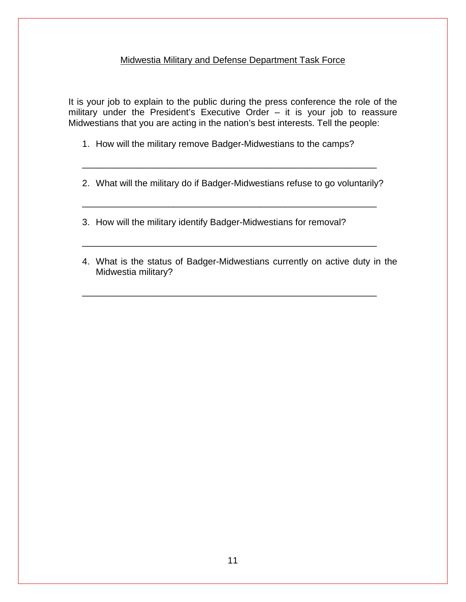## Midwestia Military and Defense Department Task Force

It is your job to explain to the public during the press conference the role of the military under the President's Executive Order – it is your job to reassure Midwestians that you are acting in the nation's best interests. Tell the people:

- 1. How will the military remove Badger-Midwestians to the camps?
- 2. What will the military do if Badger-Midwestians refuse to go voluntarily?

\_\_\_\_\_\_\_\_\_\_\_\_\_\_\_\_\_\_\_\_\_\_\_\_\_\_\_\_\_\_\_\_\_\_\_\_\_\_\_\_\_\_\_\_\_\_\_\_\_\_\_\_\_\_\_\_\_\_

\_\_\_\_\_\_\_\_\_\_\_\_\_\_\_\_\_\_\_\_\_\_\_\_\_\_\_\_\_\_\_\_\_\_\_\_\_\_\_\_\_\_\_\_\_\_\_\_\_\_\_\_\_\_\_\_\_\_

\_\_\_\_\_\_\_\_\_\_\_\_\_\_\_\_\_\_\_\_\_\_\_\_\_\_\_\_\_\_\_\_\_\_\_\_\_\_\_\_\_\_\_\_\_\_\_\_\_\_\_\_\_\_\_\_\_\_

\_\_\_\_\_\_\_\_\_\_\_\_\_\_\_\_\_\_\_\_\_\_\_\_\_\_\_\_\_\_\_\_\_\_\_\_\_\_\_\_\_\_\_\_\_\_\_\_\_\_\_\_\_\_\_\_\_\_

3. How will the military identify Badger-Midwestians for removal?

4. What is the status of Badger-Midwestians currently on active duty in the Midwestia military?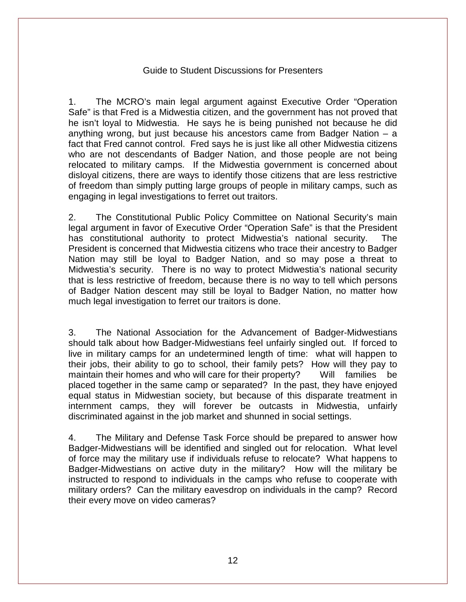### Guide to Student Discussions for Presenters

1. The MCRO's main legal argument against Executive Order "Operation Safe" is that Fred is a Midwestia citizen, and the government has not proved that he isn't loyal to Midwestia. He says he is being punished not because he did anything wrong, but just because his ancestors came from Badger Nation – a fact that Fred cannot control. Fred says he is just like all other Midwestia citizens who are not descendants of Badger Nation, and those people are not being relocated to military camps. If the Midwestia government is concerned about disloyal citizens, there are ways to identify those citizens that are less restrictive of freedom than simply putting large groups of people in military camps, such as engaging in legal investigations to ferret out traitors.

2. The Constitutional Public Policy Committee on National Security's main legal argument in favor of Executive Order "Operation Safe" is that the President has constitutional authority to protect Midwestia's national security. The President is concerned that Midwestia citizens who trace their ancestry to Badger Nation may still be loyal to Badger Nation, and so may pose a threat to Midwestia's security. There is no way to protect Midwestia's national security that is less restrictive of freedom, because there is no way to tell which persons of Badger Nation descent may still be loyal to Badger Nation, no matter how much legal investigation to ferret our traitors is done.

3. The National Association for the Advancement of Badger-Midwestians should talk about how Badger-Midwestians feel unfairly singled out. If forced to live in military camps for an undetermined length of time: what will happen to their jobs, their ability to go to school, their family pets? How will they pay to maintain their homes and who will care for their property? Will families be placed together in the same camp or separated? In the past, they have enjoyed equal status in Midwestian society, but because of this disparate treatment in internment camps, they will forever be outcasts in Midwestia, unfairly discriminated against in the job market and shunned in social settings.

4. The Military and Defense Task Force should be prepared to answer how Badger-Midwestians will be identified and singled out for relocation. What level of force may the military use if individuals refuse to relocate? What happens to Badger-Midwestians on active duty in the military? How will the military be instructed to respond to individuals in the camps who refuse to cooperate with military orders? Can the military eavesdrop on individuals in the camp? Record their every move on video cameras?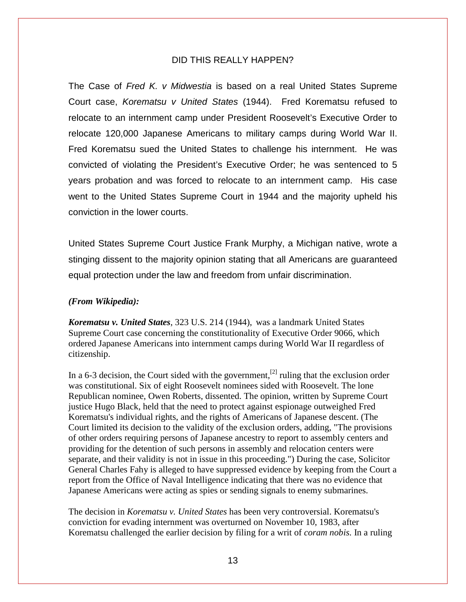### DID THIS REALLY HAPPEN?

The Case of *Fred K. v Midwestia* is based on a real United States Supreme Court case, *Korematsu v United States* (1944). Fred Korematsu refused to relocate to an internment camp under President Roosevelt's Executive Order to relocate 120,000 Japanese Americans to military camps during World War II. Fred Korematsu sued the United States to challenge his internment. He was convicted of violating the President's Executive Order; he was sentenced to 5 years probation and was forced to relocate to an internment camp. His case went to the United States Supreme Court in 1944 and the majority upheld his conviction in the lower courts.

United States Supreme Court Justice Frank Murphy, a Michigan native, wrote a stinging dissent to the majority opinion stating that all Americans are guaranteed equal protection under the law and freedom from unfair discrimination.

#### *(From Wikipedia):*

*Korematsu v. United States*, [323 U.S. 214](http://en.wikipedia.org/wiki/Case_citation) (1944), was a [landmark](http://en.wikipedia.org/wiki/List_of_landmark_court_decisions_in_the_United_States) [United States](http://en.wikipedia.org/wiki/Supreme_Court_of_the_United_States)  [Supreme Court](http://en.wikipedia.org/wiki/Supreme_Court_of_the_United_States) case concerning the constitutionality of [Executive Order 9066,](http://en.wikipedia.org/wiki/Executive_Order_9066) which ordered [Japanese Americans](http://en.wikipedia.org/wiki/Japanese_American) into [internment camps](http://en.wikipedia.org/wiki/Japanese_American_internment) during [World War II](http://en.wikipedia.org/wiki/World_War_II) regardless of citizenship.

In a 6-3 decision, the Court sided with the government,<sup>[\[2\]](http://en.wikipedia.org/wiki/Korematsu_v._United_States#cite_note-Richey2007-2)</sup> ruling that the exclusion order was [constitutional.](http://en.wikipedia.org/wiki/Constitutionality) Six of eight Roosevelt nominees sided with Roosevelt. The lone Republican nominee, [Owen Roberts,](http://en.wikipedia.org/wiki/Owen_Roberts) dissented. The opinion, written by Supreme Court justice [Hugo Black,](http://en.wikipedia.org/wiki/Hugo_Black) held that the need to protect against espionage outweighed [Fred](http://en.wikipedia.org/wiki/Fred_Korematsu)  [Korematsu's](http://en.wikipedia.org/wiki/Fred_Korematsu) individual rights, and the rights of Americans of Japanese descent. (The Court limited its decision to the validity of the exclusion orders, adding, "The provisions of other orders requiring persons of Japanese ancestry to report to assembly centers and providing for the detention of such persons in assembly and relocation centers were separate, and their validity is not in issue in this proceeding.") During the case, [Solicitor](http://en.wikipedia.org/wiki/United_States_Solicitor_General)  [General](http://en.wikipedia.org/wiki/United_States_Solicitor_General) [Charles Fahy](http://en.wikipedia.org/wiki/Charles_H._Fahy) is alleged to have suppressed evidence by keeping from the Court a report from the [Office of Naval Intelligence](http://en.wikipedia.org/wiki/Office_of_Naval_Intelligence) indicating that there was no evidence that Japanese Americans were acting as spies or sending signals to enemy submarines.

The decision in *Korematsu v. United States* has been very controversial. Korematsu's conviction for evading internment was overturned on November 10, 1983, after Korematsu challenged the earlier decision by filing for a writ of *[coram nobis.](http://en.wikipedia.org/wiki/Coram_nobis)* In a ruling